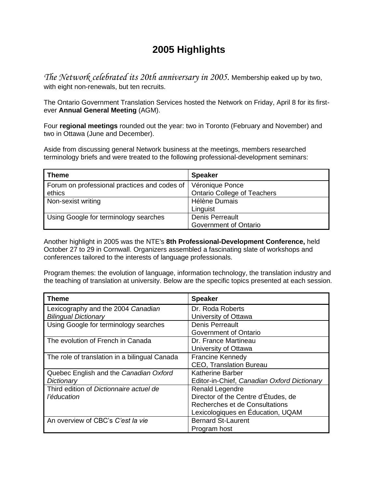## **2005 Highlights**

*The Network celebrated its 20th anniversary in 2005.* Membership eaked up by two, with eight non-renewals, but ten recruits.

The Ontario Government Translation Services hosted the Network on Friday, April 8 for its firstever **Annual General Meeting** (AGM).

Four **regional meetings** rounded out the year: two in Toronto (February and November) and two in Ottawa (June and December).

Aside from discussing general Network business at the meetings, members researched terminology briefs and were treated to the following professional-development seminars:

| <b>Theme</b>                                 | <b>Speaker</b>                     |
|----------------------------------------------|------------------------------------|
| Forum on professional practices and codes of | Véronique Ponce                    |
| ethics                                       | <b>Ontario College of Teachers</b> |
| Non-sexist writing                           | Hélène Dumais                      |
|                                              | Linguist                           |
| Using Google for terminology searches        | Denis Perreault                    |
|                                              | Government of Ontario              |

Another highlight in 2005 was the NTE's **8th Professional-Development Conference,** held October 27 to 29 in Cornwall. Organizers assembled a fascinating slate of workshops and conferences tailored to the interests of language professionals.

Program themes: the evolution of language, information technology, the translation industry and the teaching of translation at university. Below are the specific topics presented at each session.

| <b>Theme</b>                                  | <b>Speaker</b>                              |
|-----------------------------------------------|---------------------------------------------|
| Lexicography and the 2004 Canadian            | Dr. Roda Roberts                            |
| <b>Bilingual Dictionary</b>                   | University of Ottawa                        |
| Using Google for terminology searches         | Denis Perreault                             |
|                                               | Government of Ontario                       |
| The evolution of French in Canada             | Dr. France Martineau                        |
|                                               | University of Ottawa                        |
| The role of translation in a bilingual Canada | <b>Francine Kennedy</b>                     |
|                                               | <b>CEO, Translation Bureau</b>              |
| Quebec English and the Canadian Oxford        | <b>Katherine Barber</b>                     |
| Dictionary                                    | Editor-in-Chief, Canadian Oxford Dictionary |
| Third edition of Dictionnaire actuel de       | Renald Legendre                             |
| l'éducation                                   | Director of the Centre d'Études, de         |
|                                               | Recherches et de Consultations              |
|                                               | Lexicologiques en Éducation, UQAM           |
| An overview of CBC's C'est la vie             | <b>Bernard St-Laurent</b>                   |
|                                               | Program host                                |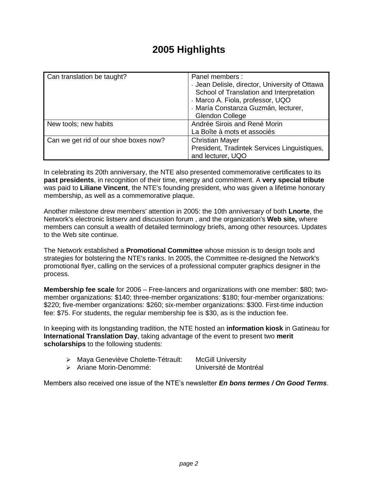## **2005 Highlights**

| Can translation be taught?            | Panel members:<br>- Jean Delisle, director, University of Ottawa<br>School of Translation and Interpretation<br>- Marco A. Fiola, professor, UQO<br>- María Constanza Guzmán, lecturer,<br><b>Glendon College</b> |
|---------------------------------------|-------------------------------------------------------------------------------------------------------------------------------------------------------------------------------------------------------------------|
| New tools; new habits                 | Andrée Sirois and René Morin                                                                                                                                                                                      |
|                                       | La Boîte à mots et associés                                                                                                                                                                                       |
| Can we get rid of our shoe boxes now? | <b>Christian Mayer</b>                                                                                                                                                                                            |
|                                       | President, Tradintek Services Linguistiques,<br>and lecturer, UQO                                                                                                                                                 |

In celebrating its 20th anniversary, the NTE also presented commemorative certificates to its **past presidents**, in recognition of their time, energy and commitment. A **very special tribute** was paid to **Liliane Vincent**, the NTE's founding president, who was given a lifetime honorary membership, as well as a commemorative plaque.

Another milestone drew members' attention in 2005: the 10th anniversary of both **Lnorte**, the Network's electronic listserv and discussion forum , and the organization's **Web site,** where members can consult a wealth of detailed terminology briefs, among other resources. Updates to the Web site continue.

The Network established a **Promotional Committee** whose mission is to design tools and strategies for bolstering the NTE's ranks. In 2005, the Committee re-designed the Network's promotional flyer, calling on the services of a professional computer graphics designer in the process.

**Membership fee scale** for 2006 – Free-lancers and organizations with one member: \$80; twomember organizations: \$140; three-member organizations: \$180; four-member organizations: \$220; five-member organizations: \$260; six-member organizations: \$300. First-time induction fee: \$75. For students, the regular membership fee is \$30, as is the induction fee.

In keeping with its longstanding tradition, the NTE hosted an **information kiosk** in Gatineau for **International Translation Day**, taking advantage of the event to present two **merit scholarships** to the following students:

- ➢ Maya Geneviève Cholette-Tétrault: McGill University
	-
- ➢ Ariane Morin-Denommé: Université de Montréal

Members also received one issue of the NTE's newsletter *En bons termes / On Good Terms*.